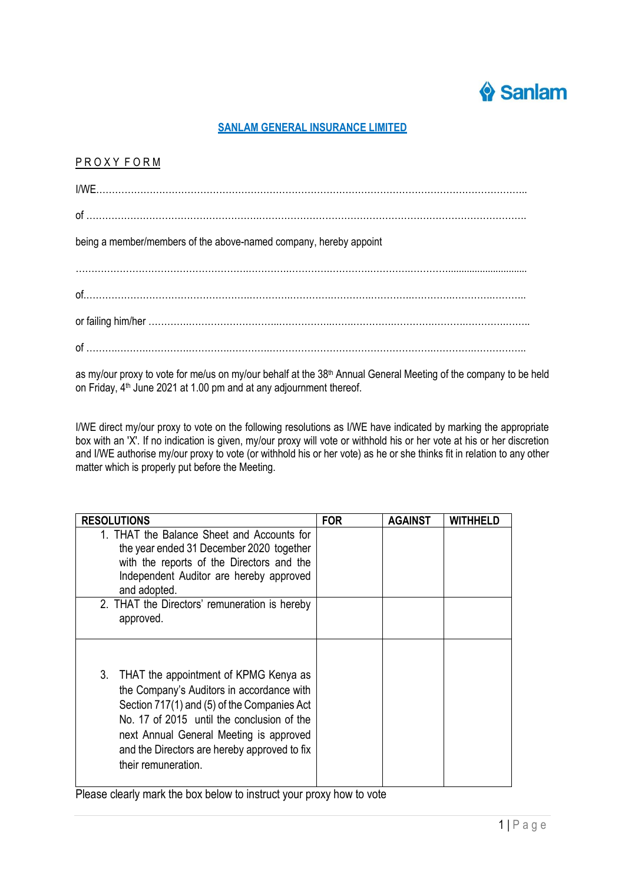

## **SANLAM GENERAL INSURANCE LIMITED**

## P R O X Y F O R M

| being a member/members of the above-named company, hereby appoint |  |  |  |  |
|-------------------------------------------------------------------|--|--|--|--|
|                                                                   |  |  |  |  |
|                                                                   |  |  |  |  |
|                                                                   |  |  |  |  |
|                                                                   |  |  |  |  |
|                                                                   |  |  |  |  |

as my/our proxy to vote for me/us on my/our behalf at the 38<sup>th</sup> Annual General Meeting of the company to be held on Friday, 4 th June 2021 at 1.00 pm and at any adjournment thereof.

I/WE direct my/our proxy to vote on the following resolutions as I/WE have indicated by marking the appropriate box with an 'X'. If no indication is given, my/our proxy will vote or withhold his or her vote at his or her discretion and I/WE authorise my/our proxy to vote (or withhold his or her vote) as he or she thinks fit in relation to any other matter which is properly put before the Meeting.

| <b>RESOLUTIONS</b>                                                                                                                                                                                                                                                                                      | <b>FOR</b> | <b>AGAINST</b> | <b>WITHHEI D</b> |
|---------------------------------------------------------------------------------------------------------------------------------------------------------------------------------------------------------------------------------------------------------------------------------------------------------|------------|----------------|------------------|
| 1. THAT the Balance Sheet and Accounts for<br>the year ended 31 December 2020 together<br>with the reports of the Directors and the<br>Independent Auditor are hereby approved<br>and adopted.                                                                                                          |            |                |                  |
| 2. THAT the Directors' remuneration is hereby<br>approved.                                                                                                                                                                                                                                              |            |                |                  |
| THAT the appointment of KPMG Kenya as<br>3.<br>the Company's Auditors in accordance with<br>Section 717(1) and (5) of the Companies Act<br>No. 17 of 2015 until the conclusion of the<br>next Annual General Meeting is approved<br>and the Directors are hereby approved to fix<br>their remuneration. |            |                |                  |

Please clearly mark the box below to instruct your proxy how to vote